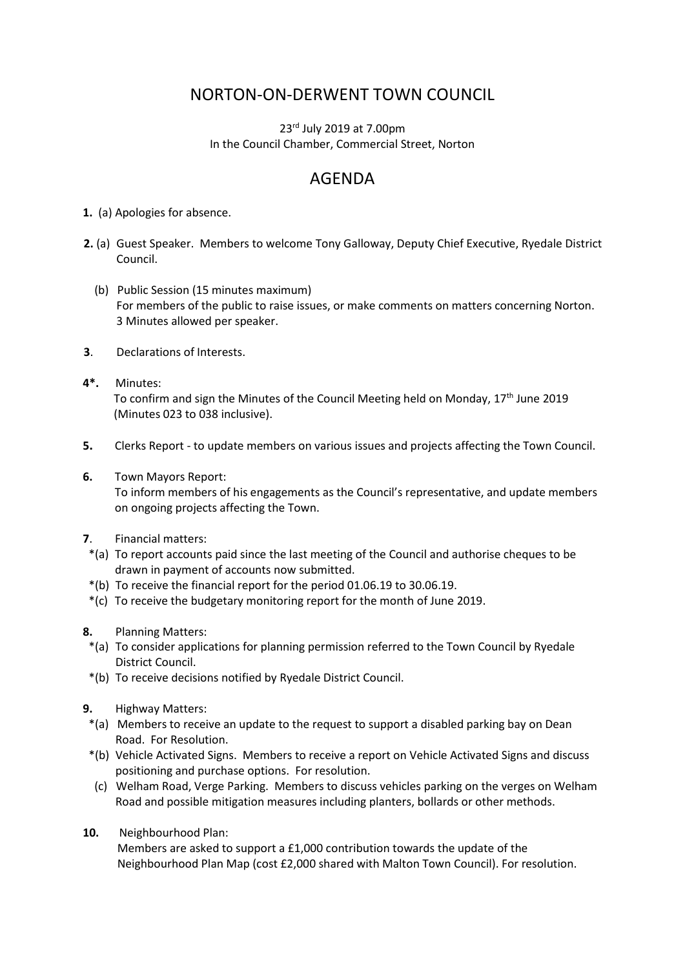## NORTON-ON-DERWENT TOWN COUNCIL

23<sup>rd</sup> July 2019 at 7.00pm In the Council Chamber, Commercial Street, Norton

## AGENDA

- **1.** (a) Apologies for absence.
- **2.** (a) Guest Speaker. Members to welcome Tony Galloway, Deputy Chief Executive, Ryedale District Council.
	- (b) Public Session (15 minutes maximum) For members of the public to raise issues, or make comments on matters concerning Norton. 3 Minutes allowed per speaker.
- **3**. Declarations of Interests.
- **4\*.** Minutes: To confirm and sign the Minutes of the Council Meeting held on Monday, 17th June 2019 (Minutes 023 to 038 inclusive).
- **5.** Clerks Report to update members on various issues and projects affecting the Town Council.
- **6.** Town Mayors Report:

 To inform members of his engagements as the Council's representative, and update members on ongoing projects affecting the Town.

- **7**. Financial matters:
- \*(a) To report accounts paid since the last meeting of the Council and authorise cheques to be drawn in payment of accounts now submitted.
- \*(b) To receive the financial report for the period 01.06.19 to 30.06.19.
- \*(c) To receive the budgetary monitoring report for the month of June 2019.
- **8.** Planning Matters:
- \*(a) To consider applications for planning permission referred to the Town Council by Ryedale District Council.
- \*(b) To receive decisions notified by Ryedale District Council.
- **9.** Highway Matters:
	- \*(a) Members to receive an update to the request to support a disabled parking bay on Dean Road. For Resolution.
	- \*(b) Vehicle Activated Signs. Members to receive a report on Vehicle Activated Signs and discuss positioning and purchase options. For resolution.
	- (c) Welham Road, Verge Parking. Members to discuss vehicles parking on the verges on Welham Road and possible mitigation measures including planters, bollards or other methods.
- **10.** Neighbourhood Plan:

Members are asked to support a £1,000 contribution towards the update of the Neighbourhood Plan Map (cost £2,000 shared with Malton Town Council). For resolution.